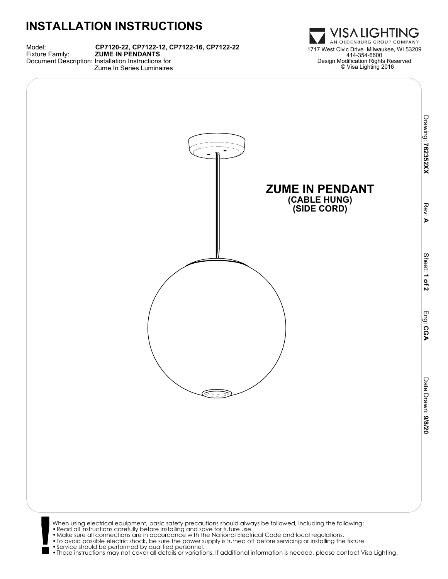## **INSTALLATION INSTRUCTIONS**

Model: **CP7120-22, CP7122-12, CP7122-16, CP7122-22** Document Description: Installation Instructions for Zume In Series Luminaires



Drawing: 762352XX  **762352XX**

> Rev: **A**

> > Sheet:

 **1 of 2**

Eng:

 **CGA**

Date Drawn:**Date Drawn: 9/8/20** 



When using electrical equipment, basic safety precautions should always be followed, including the following:<br>• Read all instructions carefully before installing and save for future use.<br>• Make sure all connections are in •These instructions may not cover all details or variations. If additional information is needed, please contact Visa Lighting.